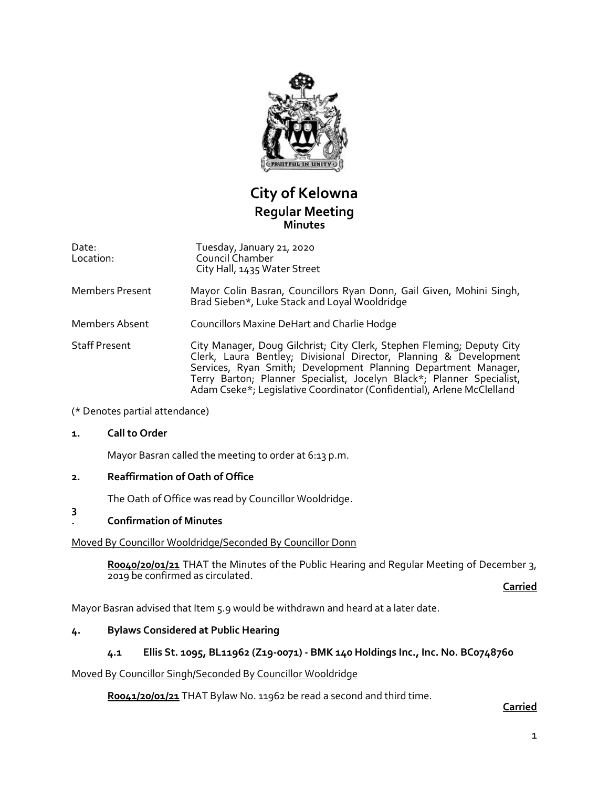

# **City of Kelowna Regular Meeting Minutes**

Date: Location: Tuesday, January 21, 2020 Council Chamber City Hall, 1435 Water Street

Members Present Mayor Colin Basran, Councillors Ryan Donn, Gail Given, Mohini Singh, Brad Sieben\*, Luke Stack and Loyal Wooldridge

Members Absent Councillors Maxine DeHart and Charlie Hodge

Staff Present City Manager, Doug Gilchrist; City Clerk, Stephen Fleming; Deputy City Clerk, Laura Bentley; Divisional Director, Planning & Development Services, Ryan Smith; Development Planning Department Manager, Terry Barton; Planner Specialist, Jocelyn Black\*; Planner Specialist, Adam Cseke\*; Legislative Coordinator (Confidential), Arlene McClelland

### (\* Denotes partial attendance)

### **1. Call to Order**

Mayor Basran called the meeting to order at 6:13 p.m.

### **2. Reaffirmation of Oath of Office**

The Oath of Office was read by Councillor Wooldridge.

#### **3 . Confirmation of Minutes**

### Moved By Councillor Wooldridge/Seconded By Councillor Donn

**R0040/20/01/21** THAT the Minutes of the Public Hearing and Regular Meeting of December 3, 2019 be confirmed as circulated.

**Carried**

Mayor Basran advised that Item 5.9 would be withdrawn and heard at a later date.

### **4. Bylaws Considered at Public Hearing**

### **4.1 Ellis St. 1095, BL11962 (Z19-0071) - BMK 140 Holdings Inc., Inc. No. BC0748760**

### Moved By Councillor Singh/Seconded By Councillor Wooldridge

**R0041/20/01/21** THAT Bylaw No. 11962 be read a second and third time.

### **Carried**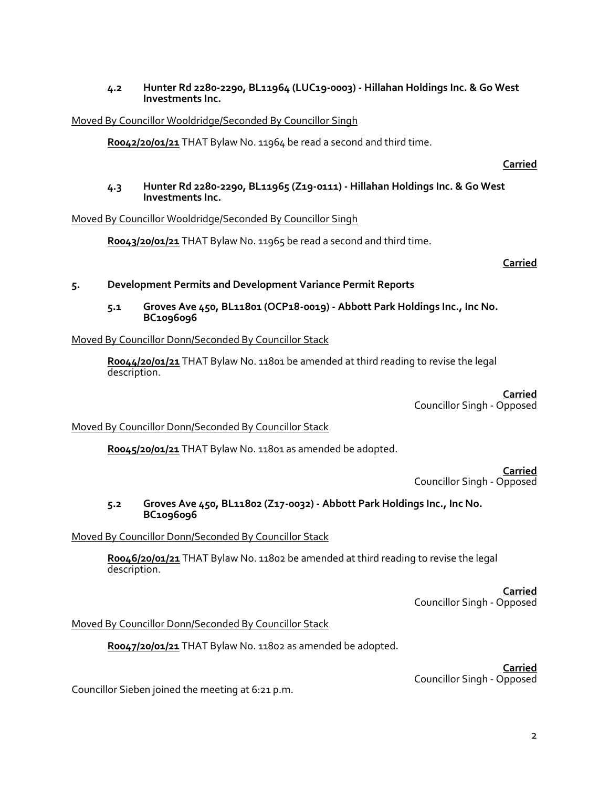### **4.2 Hunter Rd 2280-2290, BL11964 (LUC19-0003) - Hillahan Holdings Inc. & Go West Investments Inc.**

### Moved By Councillor Wooldridge/Seconded By Councillor Singh

**R0042/20/01/21** THAT Bylaw No. 11964 be read a second and third time.

**Carried**

### **4.3 Hunter Rd 2280-2290, BL11965 (Z19-0111) - Hillahan Holdings Inc. & Go West Investments Inc.**

### Moved By Councillor Wooldridge/Seconded By Councillor Singh

**R0043/20/01/21** THAT Bylaw No. 11965 be read a second and third time.

**Carried**

### **5. Development Permits and Development Variance Permit Reports**

**5.1 Groves Ave 450, BL11801 (OCP18-0019) - Abbott Park Holdings Inc., Inc No. BC1096096**

### Moved By Councillor Donn/Seconded By Councillor Stack

**R0044/20/01/21** THAT Bylaw No. 11801 be amended at third reading to revise the legal description.

> **Carried** Councillor Singh - Opposed

### Moved By Councillor Donn/Seconded By Councillor Stack

**R0045/20/01/21** THAT Bylaw No. 11801 as amended be adopted.

**Carried** Councillor Singh - Opposed

### **5.2 Groves Ave 450, BL11802 (Z17-0032) - Abbott Park Holdings Inc., Inc No. BC1096096**

### Moved By Councillor Donn/Seconded By Councillor Stack

Roo46/20/01/21 THAT Bylaw No. 11802 be amended at third reading to revise the legal description.

> **Carried** Councillor Singh - Opposed

### Moved By Councillor Donn/Seconded By Councillor Stack

**R0047/20/01/21** THAT Bylaw No. 11802 as amended be adopted.

**Carried** Councillor Singh - Opposed

Councillor Sieben joined the meeting at 6:21 p.m.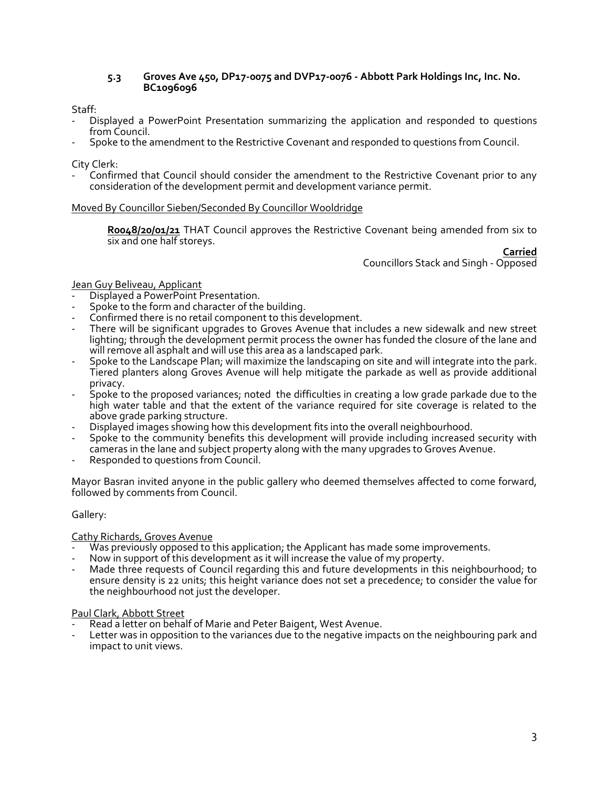#### **5.3 Groves Ave 450, DP17-0075 and DVP17-0076 - Abbott Park Holdings Inc, Inc. No. BC1096096**

Staff:

- Displayed a PowerPoint Presentation summarizing the application and responded to questions from Council.
- Spoke to the amendment to the Restrictive Covenant and responded to questions from Council.

City Clerk:

Confirmed that Council should consider the amendment to the Restrictive Covenant prior to any consideration of the development permit and development variance permit.

### Moved By Councillor Sieben/Seconded By Councillor Wooldridge

**R0048/20/01/21** THAT Council approves the Restrictive Covenant being amended from six to six and one half storeys.

**Carried** Councillors Stack and Singh - Opposed

### Jean Guy Beliveau, Applicant

- Displayed a PowerPoint Presentation.
- Spoke to the form and character of the building.
- Confirmed there is no retail component to this development.
- There will be significant upgrades to Groves Avenue that includes a new sidewalk and new street lighting; through the development permit process the owner has funded the closure of the lane and will remove all asphalt and will use this area as a landscaped park.
- Spoke to the Landscape Plan; will maximize the landscaping on site and will integrate into the park. Tiered planters along Groves Avenue will help mitigate the parkade as well as provide additional privacy.
- Spoke to the proposed variances; noted the difficulties in creating a low grade parkade due to the high water table and that the extent of the variance required for site coverage is related to the above grade parking structure.
- Displayed images showing how this development fits into the overall neighbourhood.
- Spoke to the community benefits this development will provide including increased security with cameras in the lane and subject property along with the many upgrades to Groves Avenue.
- Responded to questions from Council.

Mayor Basran invited anyone in the public gallery who deemed themselves affected to come forward, followed by comments from Council.

### Gallery:

### Cathy Richards, Groves Avenue

- Was previously opposed to this application; the Applicant has made some improvements.
- Now in support of this development as it will increase the value of my property.
- Made three requests of Council regarding this and future developments in this neighbourhood; to ensure density is 22 units; this height variance does not set a precedence; to consider the value for the neighbourhood not just the developer.

### Paul Clark, Abbott Street

- Read a letter on behalf of Marie and Peter Baigent, West Avenue.
- Letter was in opposition to the variances due to the negative impacts on the neighbouring park and impact to unit views.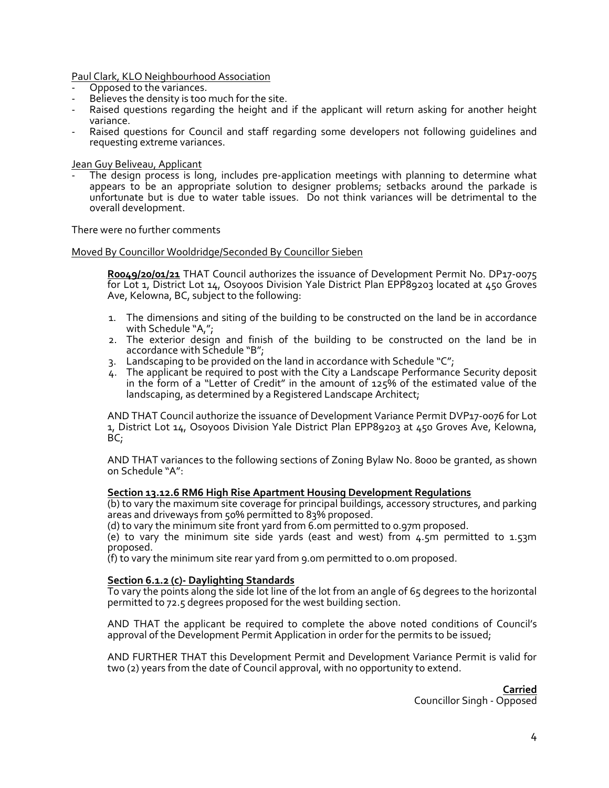Paul Clark, KLO Neighbourhood Association

- Opposed to the variances.
- Believes the density is too much for the site.
- Raised questions regarding the height and if the applicant will return asking for another height variance.
- Raised questions for Council and staff regarding some developers not following quidelines and requesting extreme variances.

Jean Guy Beliveau, Applicant

The design process is long, includes pre-application meetings with planning to determine what appears to be an appropriate solution to designer problems; setbacks around the parkade is unfortunate but is due to water table issues. Do not think variances will be detrimental to the overall development.

There were no further comments

#### Moved By Councillor Wooldridge/Seconded By Councillor Sieben

**R0049/20/01/21** THAT Council authorizes the issuance of Development Permit No. DP17-0075 for Lot 1, District Lot 14, Osoyoos Division Yale District Plan EPP89203 located at 450 Groves Ave, Kelowna, BC, subject to the following:

- 1. The dimensions and siting of the building to be constructed on the land be in accordance with Schedule "A,";
- 2. The exterior design and finish of the building to be constructed on the land be in accordance with Schedule "B";
- 3. Landscaping to be provided on the land in accordance with Schedule " $C$ ";
- 4. The applicant be required to post with the City a Landscape Performance Security deposit in the form of a "Letter of Credit" in the amount of 125% of the estimated value of the landscaping, as determined by a Registered Landscape Architect;

AND THAT Council authorize the issuance of Development Variance Permit DVP17-0076 for Lot 1, District Lot 14, Osoyoos Division Yale District Plan EPP89203 at 450 Groves Ave, Kelowna, BC;

AND THAT variances to the following sections of Zoning Bylaw No. 8000 be granted, as shown on Schedule "A":

#### **Section 13.12.6 RM6 High Rise Apartment Housing Development Regulations**

(b) to vary the maximum site coverage for principal buildings, accessory structures, and parking areas and driveways from 50% permitted to 83% proposed.

(d) to vary the minimum site front yard from 6.0m permitted to 0.97m proposed.

(e) to vary the minimum site side yards (east and west) from 4.5m permitted to 1.53m proposed.

(f) to vary the minimum site rear yard from 9.0m permitted to 0.0m proposed.

#### **Section 6.1.2 (c)- Daylighting Standards**

To vary the points along the side lot line of the lot from an angle of 65 degrees to the horizontal permitted to 72.5 degrees proposed for the west building section.

AND THAT the applicant be required to complete the above noted conditions of Council's approval of the Development Permit Application in order for the permits to be issued;

AND FURTHER THAT this Development Permit and Development Variance Permit is valid for two (2) years from the date of Council approval, with no opportunity to extend.

> **Carried** Councillor Singh - Opposed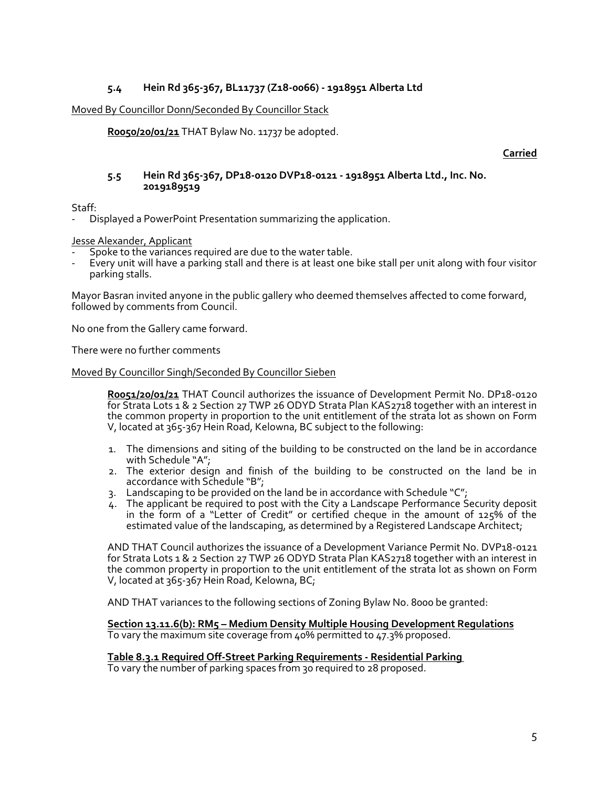### **5.4 Hein Rd 365-367, BL11737 (Z18-0066) - 1918951 Alberta Ltd**

#### Moved By Councillor Donn/Seconded By Councillor Stack

**R0050/20/01/21** THAT Bylaw No. 11737 be adopted.

#### **Carried**

#### **5.5 Hein Rd 365-367, DP18-0120 DVP18-0121 - 1918951 Alberta Ltd., Inc. No. 2019189519**

Staff:

- Displayed a PowerPoint Presentation summarizing the application.

Jesse Alexander, Applicant

- Spoke to the variances required are due to the water table.
- Every unit will have a parking stall and there is at least one bike stall per unit along with four visitor parking stalls.

Mayor Basran invited anyone in the public gallery who deemed themselves affected to come forward, followed by comments from Council.

No one from the Gallery came forward.

There were no further comments

#### Moved By Councillor Singh/Seconded By Councillor Sieben

**R0051/20/01/21** THAT Council authorizes the issuance of Development Permit No. DP18-0120 for Strata Lots 1 & 2 Section 27 TWP 26 ODYD Strata Plan KAS2718 together with an interest in the common property in proportion to the unit entitlement of the strata lot as shown on Form V, located at 365-367 Hein Road, Kelowna, BC subject to the following:

- 1. The dimensions and siting of the building to be constructed on the land be in accordance with Schedule "A";
- 2. The exterior design and finish of the building to be constructed on the land be in accordance with Schedule "B";
- 3. Landscaping to be provided on the land be in accordance with Schedule "C";
- 4. The applicant be required to post with the City a Landscape Performance Security deposit in the form of a "Letter of Credit" or certified cheque in the amount of 125% of the estimated value of the landscaping, as determined by a Registered Landscape Architect;

AND THAT Council authorizes the issuance of a Development Variance Permit No. DVP18-0121 for Strata Lots 1 & 2 Section 27 TWP 26 ODYD Strata Plan KAS2718 together with an interest in the common property in proportion to the unit entitlement of the strata lot as shown on Form V, located at 365-367 Hein Road, Kelowna, BC;

AND THAT variances to the following sections of Zoning Bylaw No. 8000 be granted:

**Section 13.11.6(b): RM5 – Medium Density Multiple Housing Development Regulations** To vary the maximum site coverage from 40% permitted to 47.3% proposed.

### **Table 8.3.1 Required Off-Street Parking Requirements - Residential Parking**

To vary the number of parking spaces from 30 required to 28 proposed.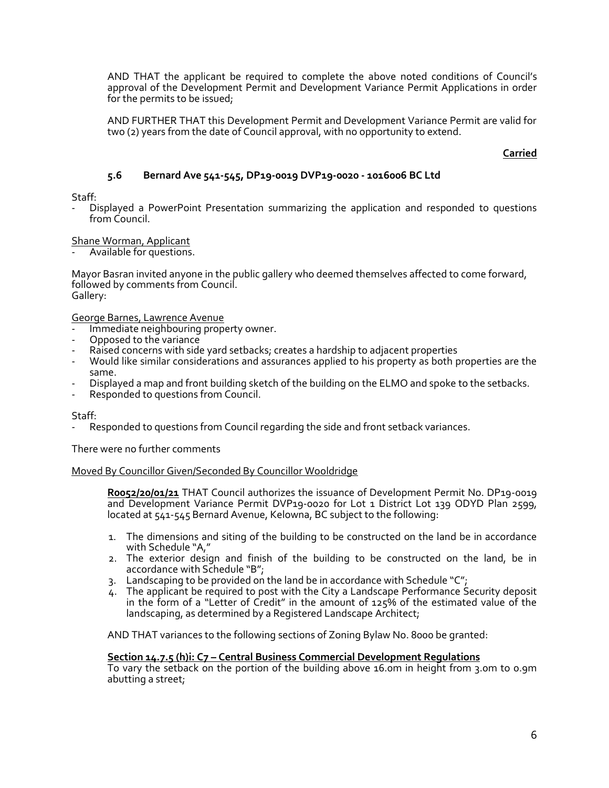AND THAT the applicant be required to complete the above noted conditions of Council's approval of the Development Permit and Development Variance Permit Applications in order for the permits to be issued;

AND FURTHER THAT this Development Permit and Development Variance Permit are valid for two (2) years from the date of Council approval, with no opportunity to extend.

### **Carried**

### **5.6 Bernard Ave 541-545, DP19-0019 DVP19-0020 - 1016006 BC Ltd**

Staff:

- Displayed a PowerPoint Presentation summarizing the application and responded to questions from Council.

#### Shane Worman, Applicant

- Available for questions.

Mayor Basran invited anyone in the public gallery who deemed themselves affected to come forward, followed by comments from Council. Gallery:

George Barnes, Lawrence Avenue

- Immediate neighbouring property owner.
- Opposed to the variance
- Raised concerns with side yard setbacks; creates a hardship to adjacent properties
- Would like similar considerations and assurances applied to his property as both properties are the same.
- Displayed a map and front building sketch of the building on the ELMO and spoke to the setbacks.
- Responded to questions from Council.

#### Staff:

Responded to questions from Council regarding the side and front setback variances.

There were no further comments

#### Moved By Councillor Given/Seconded By Councillor Wooldridge

**R0052/20/01/21** THAT Council authorizes the issuance of Development Permit No. DP19-0019 and Development Variance Permit DVP19-0020 for Lot 1 District Lot 139 ODYD Plan 2599, located at 541-545 Bernard Avenue, Kelowna, BC subject to the following:

- 1. The dimensions and siting of the building to be constructed on the land be in accordance with Schedule "A,"
- 2. The exterior design and finish of the building to be constructed on the land, be in accordance with Schedule "B";
- 3. Landscaping to be provided on the land be in accordance with Schedule "C";
- 4. The applicant be required to post with the City a Landscape Performance Security deposit in the form of a "Letter of Credit" in the amount of 125% of the estimated value of the landscaping, as determined by a Registered Landscape Architect;

AND THAT variances to the following sections of Zoning Bylaw No. 8000 be granted:

#### **Section 14.7.5 (h)i: C7 – Central Business Commercial Development Regulations**

To vary the setback on the portion of the building above 16.0m in height from 3.0m to 0.9m abutting a street;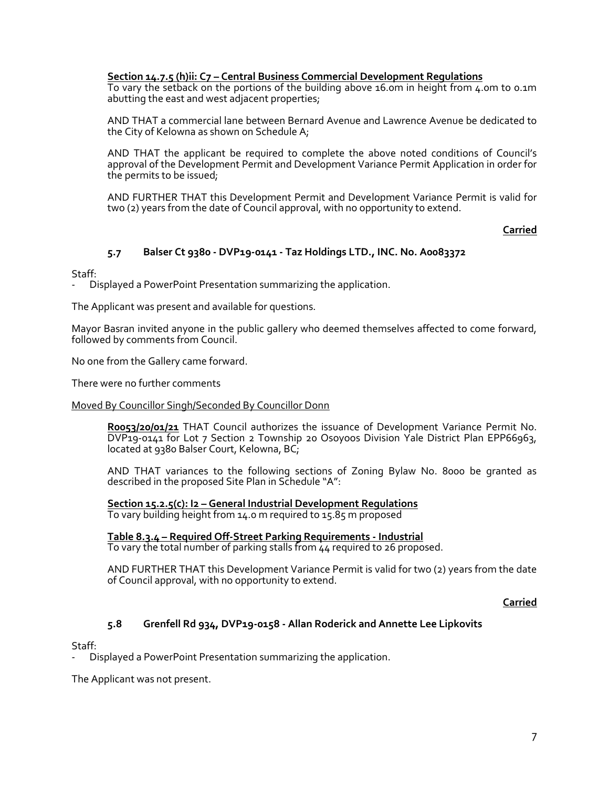**Section 14.7.5 (h)ii: C7 – Central Business Commercial Development Regulations**

To vary the setback on the portions of the building above 16.0m in height from 4.0m to 0.1m abutting the east and west adjacent properties;

AND THAT a commercial lane between Bernard Avenue and Lawrence Avenue be dedicated to the City of Kelowna as shown on Schedule A;

AND THAT the applicant be required to complete the above noted conditions of Council's approval of the Development Permit and Development Variance Permit Application in order for the permits to be issued;

AND FURTHER THAT this Development Permit and Development Variance Permit is valid for two (2) years from the date of Council approval, with no opportunity to extend.

**Carried**

## **5.7 Balser Ct 9380 - DVP19-0141 - Taz Holdings LTD., INC. No. A0083372**

Staff:

- Displayed a PowerPoint Presentation summarizing the application.

The Applicant was present and available for questions.

Mayor Basran invited anyone in the public gallery who deemed themselves affected to come forward, followed by comments from Council.

No one from the Gallery came forward.

There were no further comments

#### Moved By Councillor Singh/Seconded By Councillor Donn

**R0053/20/01/21** THAT Council authorizes the issuance of Development Variance Permit No. DVP19-0141 for Lot 7 Section 2 Township 20 Osoyoos Division Yale District Plan EPP66963, located at 9380 Balser Court, Kelowna, BC;

AND THAT variances to the following sections of Zoning Bylaw No. 8000 be granted as described in the proposed Site Plan in Schedule "A":

**Section 15.2.5(c): I2 – General Industrial Development Regulations** To vary building height from 14.0 m required to 15.85 m proposed

# **Table 8.3.4 – Required Off-Street Parking Requirements - Industrial**

To vary the total number of parking stalls from 44 required to 26 proposed.

AND FURTHER THAT this Development Variance Permit is valid for two (2) years from the date of Council approval, with no opportunity to extend.

**Carried**

### **5.8 Grenfell Rd 934, DVP19-0158 - Allan Roderick and Annette Lee Lipkovits**

Staff:

- Displayed a PowerPoint Presentation summarizing the application.

The Applicant was not present.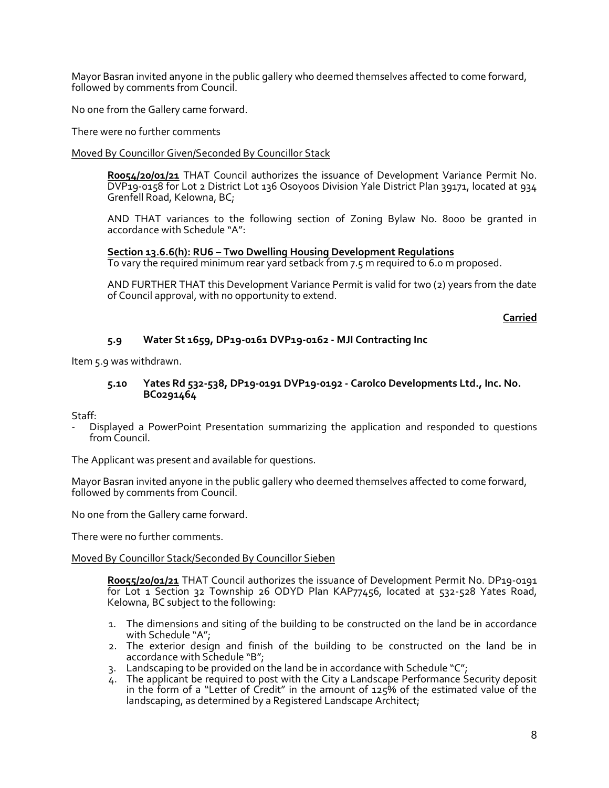Mayor Basran invited anyone in the public gallery who deemed themselves affected to come forward, followed by comments from Council.

No one from the Gallery came forward.

There were no further comments

#### Moved By Councillor Given/Seconded By Councillor Stack

**R0054/20/01/21** THAT Council authorizes the issuance of Development Variance Permit No. DVP19-0158 for Lot 2 District Lot 136 Osoyoos Division Yale District Plan 39171, located at 934 Grenfell Road, Kelowna, BC;

AND THAT variances to the following section of Zoning Bylaw No. 8000 be granted in accordance with Schedule "A":

#### **Section 13.6.6(h): RU6 – Two Dwelling Housing Development Regulations**

To vary the required minimum rear yard setback from 7.5 m required to 6.0 m proposed.

AND FURTHER THAT this Development Variance Permit is valid for two (2) years from the date of Council approval, with no opportunity to extend.

**Carried**

### **5.9 Water St 1659, DP19-0161 DVP19-0162 - MJI Contracting Inc**

Item 5.9 was withdrawn.

#### **5.10 Yates Rd 532-538, DP19-0191 DVP19-0192 - Carolco Developments Ltd., Inc. No. BC0291464**

Staff:

- Displayed a PowerPoint Presentation summarizing the application and responded to questions from Council.

The Applicant was present and available for questions.

Mayor Basran invited anyone in the public gallery who deemed themselves affected to come forward, followed by comments from Council.

No one from the Gallery came forward.

There were no further comments.

#### Moved By Councillor Stack/Seconded By Councillor Sieben

**R0055/20/01/21** THAT Council authorizes the issuance of Development Permit No. DP19-0191 for Lot 1 Section 32 Township 26 ODYD Plan KAP77456, located at 532-528 Yates Road, Kelowna, BC subject to the following:

- 1. The dimensions and siting of the building to be constructed on the land be in accordance with Schedule "A";
- 2. The exterior design and finish of the building to be constructed on the land be in accordance with Schedule "B";
- 3. Landscaping to be provided on the land be in accordance with Schedule "C";
- 4. The applicant be required to post with the City a Landscape Performance Security deposit in the form of a "Letter of Credit" in the amount of  $125\%$  of the estimated value of the landscaping, as determined by a Registered Landscape Architect;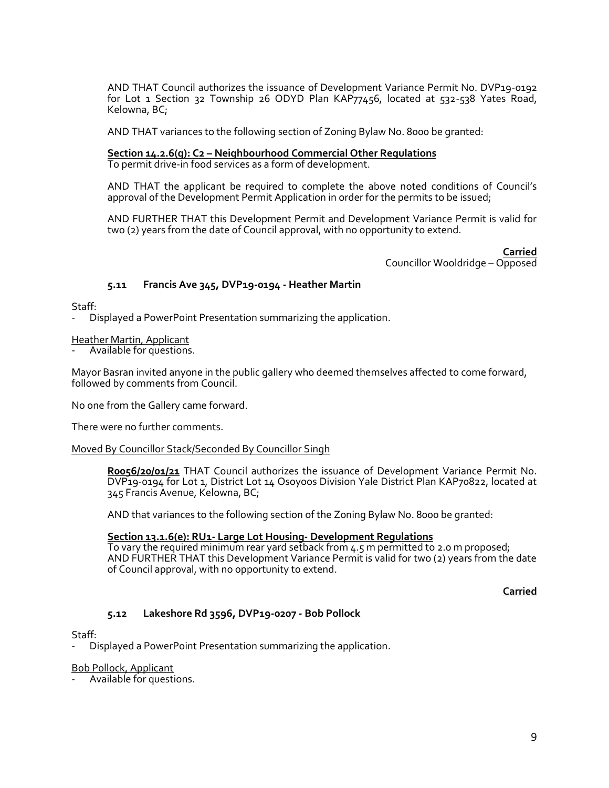AND THAT Council authorizes the issuance of Development Variance Permit No. DVP19-0192 for Lot 1 Section 32 Township 26 ODYD Plan KAP77456, located at 532-538 Yates Road, Kelowna, BC;

AND THAT variances to the following section of Zoning Bylaw No. 8000 be granted:

#### **Section 14.2.6(g): C2 – Neighbourhood Commercial Other Regulations**

To permit drive-in food services as a form of development.

AND THAT the applicant be required to complete the above noted conditions of Council's approval of the Development Permit Application in order for the permits to be issued;

AND FURTHER THAT this Development Permit and Development Variance Permit is valid for two (2) years from the date of Council approval, with no opportunity to extend.

> **Carried** Councillor Wooldridge – Opposed

### **5.11 Francis Ave 345, DVP19-0194 - Heather Martin**

Staff:

Displayed a PowerPoint Presentation summarizing the application.

Heather Martin, Applicant

Available for questions.

Mayor Basran invited anyone in the public gallery who deemed themselves affected to come forward, followed by comments from Council.

No one from the Gallery came forward.

There were no further comments.

### Moved By Councillor Stack/Seconded By Councillor Singh

Roo56/20/01/21 THAT Council authorizes the issuance of Development Variance Permit No. DVP19-0194 for Lot 1, District Lot 14 Osoyoos Division Yale District Plan KAP70822, located at 345 Francis Avenue, Kelowna, BC;

AND that variances to the following section of the Zoning Bylaw No. 8000 be granted:

### **Section 13.1.6(e): RU1- Large Lot Housing- Development Regulations**

To vary the required minimum rear yard setback from 4.5 m permitted to 2.0 m proposed; AND FURTHER THAT this Development Variance Permit is valid for two (2) years from the date of Council approval, with no opportunity to extend.

**Carried**

### **5.12 Lakeshore Rd 3596, DVP19-0207 - Bob Pollock**

#### Staff:

Displayed a PowerPoint Presentation summarizing the application.

#### Bob Pollock, Applicant

Available for questions.